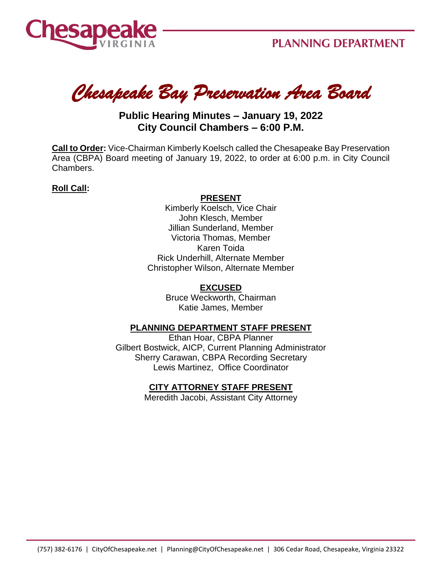

*Chesapeake Bay Preservation Area Board* 

# **Public Hearing Minutes – January 19, 2022 City Council Chambers – 6:00 P.M.**

**Call to Order:** Vice-Chairman Kimberly Koelsch called the Chesapeake Bay Preservation Area (CBPA) Board meeting of January 19, 2022, to order at 6:00 p.m. in City Council Chambers.

### **Roll Call:**

#### **PRESENT**

Kimberly Koelsch, Vice Chair John Klesch, Member Jillian Sunderland, Member Victoria Thomas, Member Karen Toida Rick Underhill, Alternate Member Christopher Wilson, Alternate Member

## **EXCUSED**

Bruce Weckworth, Chairman Katie James, Member

### **PLANNING DEPARTMENT STAFF PRESENT**

Ethan Hoar, CBPA Planner Gilbert Bostwick, AICP, Current Planning Administrator Sherry Carawan, CBPA Recording Secretary Lewis Martinez, Office Coordinator

### **CITY ATTORNEY STAFF PRESENT**

Meredith Jacobi, Assistant City Attorney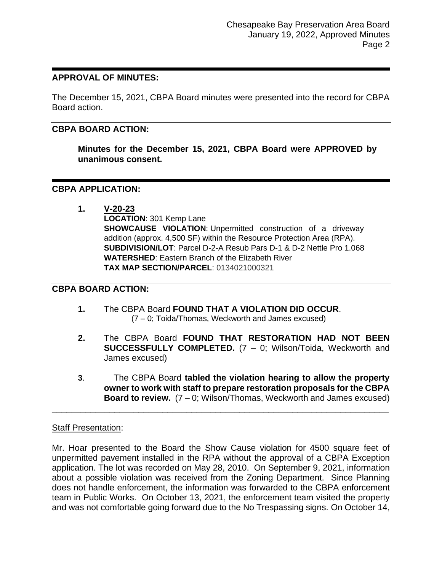#### **APPROVAL OF MINUTES:**

The December 15, 2021, CBPA Board minutes were presented into the record for CBPA Board action.

### **CBPA BOARD ACTION:**

**Minutes for the December 15, 2021, CBPA Board were APPROVED by unanimous consent.**

#### **CBPA APPLICATION:**

**1. V-20-23 LOCATION**: 301 Kemp Lane **SHOWCAUSE VIOLATION:** Unpermitted construction of a driveway addition (approx. 4,500 SF) within the Resource Protection Area (RPA). **SUBDIVISION/LOT**: Parcel D-2-A Resub Pars D-1 & D-2 Nettle Pro 1.068 **WATERSHED**: Eastern Branch of the Elizabeth River **TAX MAP SECTION/PARCEL**: 0134021000321

#### **CBPA BOARD ACTION:**

- **1.** The CBPA Board **FOUND THAT A VIOLATION DID OCCUR**. (7 – 0; Toida/Thomas, Weckworth and James excused)
- **2.** The CBPA Board **FOUND THAT RESTORATION HAD NOT BEEN SUCCESSFULLY COMPLETED.** (7 – 0; Wilson/Toida, Weckworth and James excused)
- **3**. The CBPA Board **tabled the violation hearing to allow the property owner to work with staff to prepare restoration proposals for the CBPA Board to review.** (7 – 0; Wilson/Thomas, Weckworth and James excused)

#### Staff Presentation:

Mr. Hoar presented to the Board the Show Cause violation for 4500 square feet of unpermitted pavement installed in the RPA without the approval of a CBPA Exception application. The lot was recorded on May 28, 2010. On September 9, 2021, information about a possible violation was received from the Zoning Department. Since Planning does not handle enforcement, the information was forwarded to the CBPA enforcement team in Public Works. On October 13, 2021, the enforcement team visited the property and was not comfortable going forward due to the No Trespassing signs. On October 14,

\_\_\_\_\_\_\_\_\_\_\_\_\_\_\_\_\_\_\_\_\_\_\_\_\_\_\_\_\_\_\_\_\_\_\_\_\_\_\_\_\_\_\_\_\_\_\_\_\_\_\_\_\_\_\_\_\_\_\_\_\_\_\_\_\_\_\_\_\_\_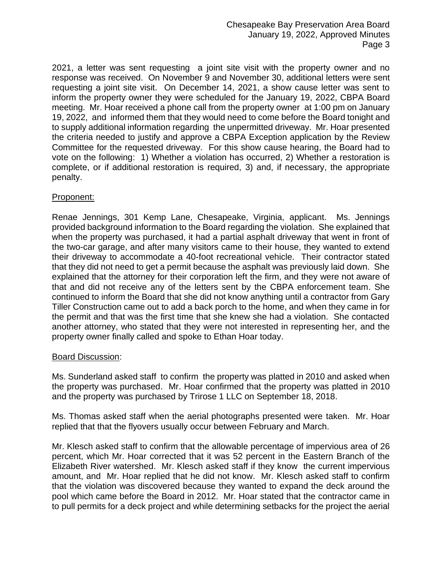2021, a letter was sent requesting a joint site visit with the property owner and no response was received. On November 9 and November 30, additional letters were sent requesting a joint site visit. On December 14, 2021, a show cause letter was sent to inform the property owner they were scheduled for the January 19, 2022, CBPA Board meeting. Mr. Hoar received a phone call from the property owner at 1:00 pm on January 19, 2022, and informed them that they would need to come before the Board tonight and to supply additional information regarding the unpermitted driveway. Mr. Hoar presented the criteria needed to justify and approve a CBPA Exception application by the Review Committee for the requested driveway. For this show cause hearing, the Board had to vote on the following: 1) Whether a violation has occurred, 2) Whether a restoration is complete, or if additional restoration is required, 3) and, if necessary, the appropriate penalty.

## Proponent:

Renae Jennings, 301 Kemp Lane, Chesapeake, Virginia, applicant. Ms. Jennings provided background information to the Board regarding the violation. She explained that when the property was purchased, it had a partial asphalt driveway that went in front of the two-car garage, and after many visitors came to their house, they wanted to extend their driveway to accommodate a 40-foot recreational vehicle. Their contractor stated that they did not need to get a permit because the asphalt was previously laid down. She explained that the attorney for their corporation left the firm, and they were not aware of that and did not receive any of the letters sent by the CBPA enforcement team. She continued to inform the Board that she did not know anything until a contractor from Gary Tiller Construction came out to add a back porch to the home, and when they came in for the permit and that was the first time that she knew she had a violation. She contacted another attorney, who stated that they were not interested in representing her, and the property owner finally called and spoke to Ethan Hoar today.

### Board Discussion:

Ms. Sunderland asked staff to confirm the property was platted in 2010 and asked when the property was purchased. Mr. Hoar confirmed that the property was platted in 2010 and the property was purchased by Trirose 1 LLC on September 18, 2018.

Ms. Thomas asked staff when the aerial photographs presented were taken. Mr. Hoar replied that that the flyovers usually occur between February and March.

Mr. Klesch asked staff to confirm that the allowable percentage of impervious area of 26 percent, which Mr. Hoar corrected that it was 52 percent in the Eastern Branch of the Elizabeth River watershed. Mr. Klesch asked staff if they know the current impervious amount, and Mr. Hoar replied that he did not know. Mr. Klesch asked staff to confirm that the violation was discovered because they wanted to expand the deck around the pool which came before the Board in 2012. Mr. Hoar stated that the contractor came in to pull permits for a deck project and while determining setbacks for the project the aerial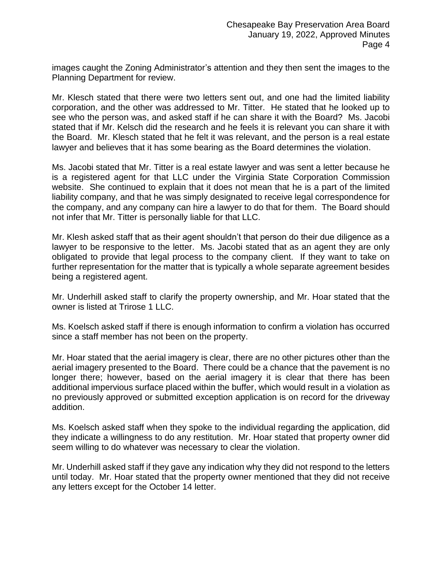images caught the Zoning Administrator's attention and they then sent the images to the Planning Department for review.

Mr. Klesch stated that there were two letters sent out, and one had the limited liability corporation, and the other was addressed to Mr. Titter. He stated that he looked up to see who the person was, and asked staff if he can share it with the Board? Ms. Jacobi stated that if Mr. Kelsch did the research and he feels it is relevant you can share it with the Board. Mr. Klesch stated that he felt it was relevant, and the person is a real estate lawyer and believes that it has some bearing as the Board determines the violation.

Ms. Jacobi stated that Mr. Titter is a real estate lawyer and was sent a letter because he is a registered agent for that LLC under the Virginia State Corporation Commission website. She continued to explain that it does not mean that he is a part of the limited liability company, and that he was simply designated to receive legal correspondence for the company, and any company can hire a lawyer to do that for them. The Board should not infer that Mr. Titter is personally liable for that LLC.

Mr. Klesh asked staff that as their agent shouldn't that person do their due diligence as a lawyer to be responsive to the letter. Ms. Jacobi stated that as an agent they are only obligated to provide that legal process to the company client. If they want to take on further representation for the matter that is typically a whole separate agreement besides being a registered agent.

Mr. Underhill asked staff to clarify the property ownership, and Mr. Hoar stated that the owner is listed at Trirose 1 LLC.

Ms. Koelsch asked staff if there is enough information to confirm a violation has occurred since a staff member has not been on the property.

Mr. Hoar stated that the aerial imagery is clear, there are no other pictures other than the aerial imagery presented to the Board. There could be a chance that the pavement is no longer there; however, based on the aerial imagery it is clear that there has been additional impervious surface placed within the buffer, which would result in a violation as no previously approved or submitted exception application is on record for the driveway addition.

Ms. Koelsch asked staff when they spoke to the individual regarding the application, did they indicate a willingness to do any restitution. Mr. Hoar stated that property owner did seem willing to do whatever was necessary to clear the violation.

Mr. Underhill asked staff if they gave any indication why they did not respond to the letters until today. Mr. Hoar stated that the property owner mentioned that they did not receive any letters except for the October 14 letter.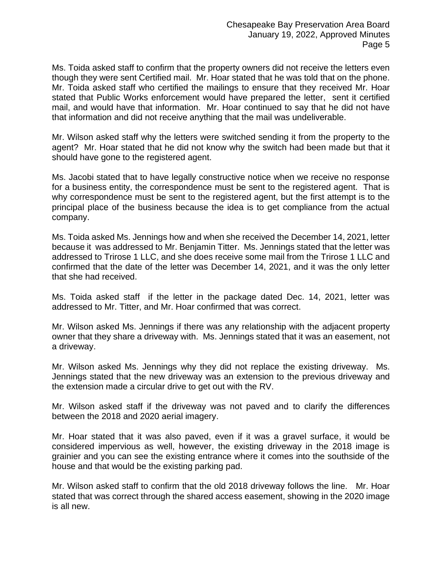Ms. Toida asked staff to confirm that the property owners did not receive the letters even though they were sent Certified mail. Mr. Hoar stated that he was told that on the phone. Mr. Toida asked staff who certified the mailings to ensure that they received Mr. Hoar stated that Public Works enforcement would have prepared the letter, sent it certified mail, and would have that information. Mr. Hoar continued to say that he did not have that information and did not receive anything that the mail was undeliverable.

Mr. Wilson asked staff why the letters were switched sending it from the property to the agent? Mr. Hoar stated that he did not know why the switch had been made but that it should have gone to the registered agent.

Ms. Jacobi stated that to have legally constructive notice when we receive no response for a business entity, the correspondence must be sent to the registered agent. That is why correspondence must be sent to the registered agent, but the first attempt is to the principal place of the business because the idea is to get compliance from the actual company.

Ms. Toida asked Ms. Jennings how and when she received the December 14, 2021, letter because it was addressed to Mr. Benjamin Titter. Ms. Jennings stated that the letter was addressed to Trirose 1 LLC, and she does receive some mail from the Trirose 1 LLC and confirmed that the date of the letter was December 14, 2021, and it was the only letter that she had received.

Ms. Toida asked staff if the letter in the package dated Dec. 14, 2021, letter was addressed to Mr. Titter, and Mr. Hoar confirmed that was correct.

Mr. Wilson asked Ms. Jennings if there was any relationship with the adjacent property owner that they share a driveway with. Ms. Jennings stated that it was an easement, not a driveway.

Mr. Wilson asked Ms. Jennings why they did not replace the existing driveway. Ms. Jennings stated that the new driveway was an extension to the previous driveway and the extension made a circular drive to get out with the RV.

Mr. Wilson asked staff if the driveway was not paved and to clarify the differences between the 2018 and 2020 aerial imagery.

Mr. Hoar stated that it was also paved, even if it was a gravel surface, it would be considered impervious as well, however, the existing driveway in the 2018 image is grainier and you can see the existing entrance where it comes into the southside of the house and that would be the existing parking pad.

Mr. Wilson asked staff to confirm that the old 2018 driveway follows the line. Mr. Hoar stated that was correct through the shared access easement, showing in the 2020 image is all new.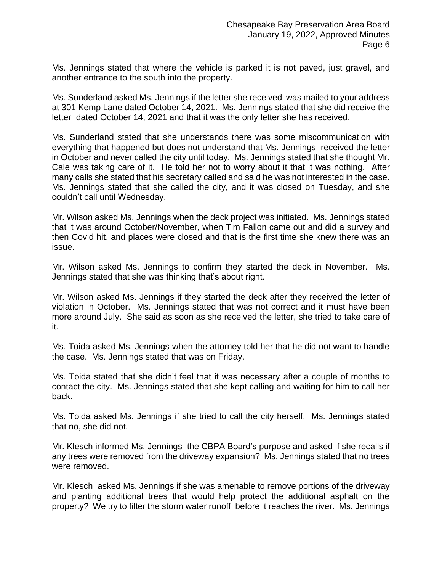Ms. Jennings stated that where the vehicle is parked it is not paved, just gravel, and another entrance to the south into the property.

Ms. Sunderland asked Ms. Jennings if the letter she received was mailed to your address at 301 Kemp Lane dated October 14, 2021. Ms. Jennings stated that she did receive the letter dated October 14, 2021 and that it was the only letter she has received.

Ms. Sunderland stated that she understands there was some miscommunication with everything that happened but does not understand that Ms. Jennings received the letter in October and never called the city until today. Ms. Jennings stated that she thought Mr. Cale was taking care of it. He told her not to worry about it that it was nothing. After many calls she stated that his secretary called and said he was not interested in the case. Ms. Jennings stated that she called the city, and it was closed on Tuesday, and she couldn't call until Wednesday.

Mr. Wilson asked Ms. Jennings when the deck project was initiated. Ms. Jennings stated that it was around October/November, when Tim Fallon came out and did a survey and then Covid hit, and places were closed and that is the first time she knew there was an issue.

Mr. Wilson asked Ms. Jennings to confirm they started the deck in November. Ms. Jennings stated that she was thinking that's about right.

Mr. Wilson asked Ms. Jennings if they started the deck after they received the letter of violation in October. Ms. Jennings stated that was not correct and it must have been more around July. She said as soon as she received the letter, she tried to take care of it.

Ms. Toida asked Ms. Jennings when the attorney told her that he did not want to handle the case. Ms. Jennings stated that was on Friday.

Ms. Toida stated that she didn't feel that it was necessary after a couple of months to contact the city. Ms. Jennings stated that she kept calling and waiting for him to call her back.

Ms. Toida asked Ms. Jennings if she tried to call the city herself. Ms. Jennings stated that no, she did not.

Mr. Klesch informed Ms. Jennings the CBPA Board's purpose and asked if she recalls if any trees were removed from the driveway expansion? Ms. Jennings stated that no trees were removed.

Mr. Klesch asked Ms. Jennings if she was amenable to remove portions of the driveway and planting additional trees that would help protect the additional asphalt on the property? We try to filter the storm water runoff before it reaches the river. Ms. Jennings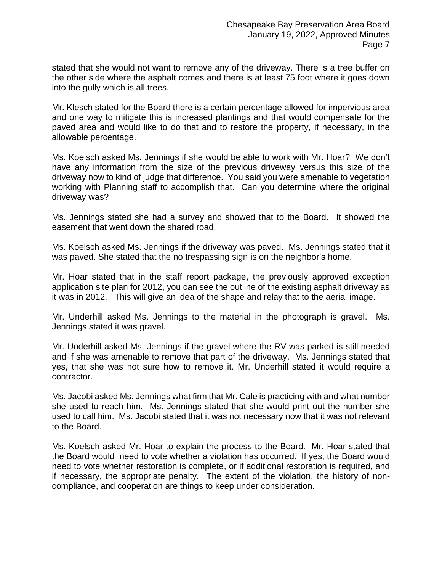stated that she would not want to remove any of the driveway. There is a tree buffer on the other side where the asphalt comes and there is at least 75 foot where it goes down into the gully which is all trees.

Mr. Klesch stated for the Board there is a certain percentage allowed for impervious area and one way to mitigate this is increased plantings and that would compensate for the paved area and would like to do that and to restore the property, if necessary, in the allowable percentage.

Ms. Koelsch asked Ms. Jennings if she would be able to work with Mr. Hoar? We don't have any information from the size of the previous driveway versus this size of the driveway now to kind of judge that difference. You said you were amenable to vegetation working with Planning staff to accomplish that. Can you determine where the original driveway was?

Ms. Jennings stated she had a survey and showed that to the Board. It showed the easement that went down the shared road.

Ms. Koelsch asked Ms. Jennings if the driveway was paved. Ms. Jennings stated that it was paved. She stated that the no trespassing sign is on the neighbor's home.

Mr. Hoar stated that in the staff report package, the previously approved exception application site plan for 2012, you can see the outline of the existing asphalt driveway as it was in 2012. This will give an idea of the shape and relay that to the aerial image.

Mr. Underhill asked Ms. Jennings to the material in the photograph is gravel. Ms. Jennings stated it was gravel.

Mr. Underhill asked Ms. Jennings if the gravel where the RV was parked is still needed and if she was amenable to remove that part of the driveway. Ms. Jennings stated that yes, that she was not sure how to remove it. Mr. Underhill stated it would require a contractor.

Ms. Jacobi asked Ms. Jennings what firm that Mr. Cale is practicing with and what number she used to reach him. Ms. Jennings stated that she would print out the number she used to call him. Ms. Jacobi stated that it was not necessary now that it was not relevant to the Board.

Ms. Koelsch asked Mr. Hoar to explain the process to the Board. Mr. Hoar stated that the Board would need to vote whether a violation has occurred. If yes, the Board would need to vote whether restoration is complete, or if additional restoration is required, and if necessary, the appropriate penalty. The extent of the violation, the history of noncompliance, and cooperation are things to keep under consideration.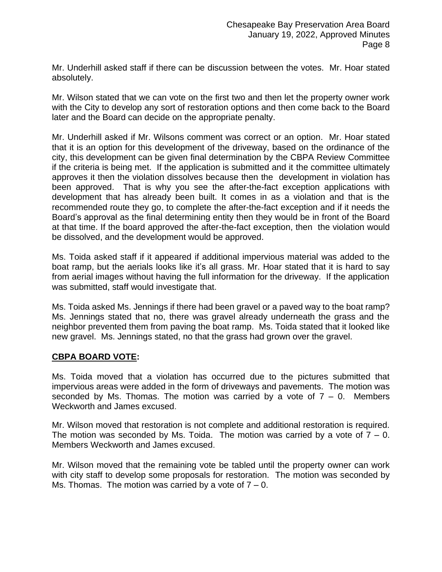Mr. Underhill asked staff if there can be discussion between the votes. Mr. Hoar stated absolutely.

Mr. Wilson stated that we can vote on the first two and then let the property owner work with the City to develop any sort of restoration options and then come back to the Board later and the Board can decide on the appropriate penalty.

Mr. Underhill asked if Mr. Wilsons comment was correct or an option. Mr. Hoar stated that it is an option for this development of the driveway, based on the ordinance of the city, this development can be given final determination by the CBPA Review Committee if the criteria is being met. If the application is submitted and it the committee ultimately approves it then the violation dissolves because then the development in violation has been approved. That is why you see the after-the-fact exception applications with development that has already been built. It comes in as a violation and that is the recommended route they go, to complete the after-the-fact exception and if it needs the Board's approval as the final determining entity then they would be in front of the Board at that time. If the board approved the after-the-fact exception, then the violation would be dissolved, and the development would be approved.

Ms. Toida asked staff if it appeared if additional impervious material was added to the boat ramp, but the aerials looks like it's all grass. Mr. Hoar stated that it is hard to say from aerial images without having the full information for the driveway. If the application was submitted, staff would investigate that.

Ms. Toida asked Ms. Jennings if there had been gravel or a paved way to the boat ramp? Ms. Jennings stated that no, there was gravel already underneath the grass and the neighbor prevented them from paving the boat ramp. Ms. Toida stated that it looked like new gravel. Ms. Jennings stated, no that the grass had grown over the gravel.

## **CBPA BOARD VOTE:**

Ms. Toida moved that a violation has occurred due to the pictures submitted that impervious areas were added in the form of driveways and pavements. The motion was seconded by Ms. Thomas. The motion was carried by a vote of  $7 - 0$ . Members Weckworth and James excused.

Mr. Wilson moved that restoration is not complete and additional restoration is required. The motion was seconded by Ms. Toida. The motion was carried by a vote of  $7 - 0$ . Members Weckworth and James excused.

Mr. Wilson moved that the remaining vote be tabled until the property owner can work with city staff to develop some proposals for restoration. The motion was seconded by Ms. Thomas. The motion was carried by a vote of  $7 - 0$ .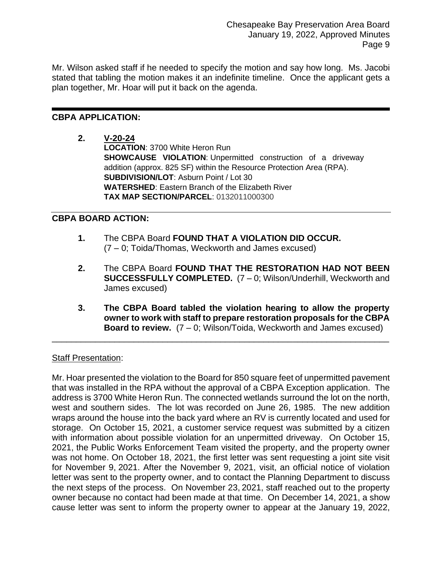Mr. Wilson asked staff if he needed to specify the motion and say how long. Ms. Jacobi stated that tabling the motion makes it an indefinite timeline. Once the applicant gets a plan together, Mr. Hoar will put it back on the agenda.

## **CBPA APPLICATION:**

**2. V-20-24**

**LOCATION**: 3700 White Heron Run **SHOWCAUSE VIOLATION**: Unpermitted construction of a driveway addition (approx. 825 SF) within the Resource Protection Area (RPA). **SUBDIVISION/LOT**: Asburn Point / Lot 30 **WATERSHED**: Eastern Branch of the Elizabeth River **TAX MAP SECTION/PARCEL**: 0132011000300

## **CBPA BOARD ACTION:**

- **1.** The CBPA Board **FOUND THAT A VIOLATION DID OCCUR.**  (7 – 0; Toida/Thomas, Weckworth and James excused)
- **2.** The CBPA Board **FOUND THAT THE RESTORATION HAD NOT BEEN SUCCESSFULLY COMPLETED.** (7 – 0; Wilson/Underhill, Weckworth and James excused)
- **3. The CBPA Board tabled the violation hearing to allow the property owner to work with staff to prepare restoration proposals for the CBPA Board to review.** (7 – 0; Wilson/Toida, Weckworth and James excused)

\_\_\_\_\_\_\_\_\_\_\_\_\_\_\_\_\_\_\_\_\_\_\_\_\_\_\_\_\_\_\_\_\_\_\_\_\_\_\_\_\_\_\_\_\_\_\_\_\_\_\_\_\_\_\_\_\_\_\_\_\_\_\_\_\_\_\_\_\_\_

### Staff Presentation:

Mr. Hoar presented the violation to the Board for 850 square feet of unpermitted pavement that was installed in the RPA without the approval of a CBPA Exception application. The address is 3700 White Heron Run. The connected wetlands surround the lot on the north, west and southern sides. The lot was recorded on June 26, 1985. The new addition wraps around the house into the back yard where an RV is currently located and used for storage. On October 15, 2021, a customer service request was submitted by a citizen with information about possible violation for an unpermitted driveway. On October 15, 2021, the Public Works Enforcement Team visited the property, and the property owner was not home. On October 18, 2021, the first letter was sent requesting a joint site visit for November 9, 2021. After the November 9, 2021, visit, an official notice of violation letter was sent to the property owner, and to contact the Planning Department to discuss the next steps of the process. On November 23, 2021, staff reached out to the property owner because no contact had been made at that time. On December 14, 2021, a show cause letter was sent to inform the property owner to appear at the January 19, 2022,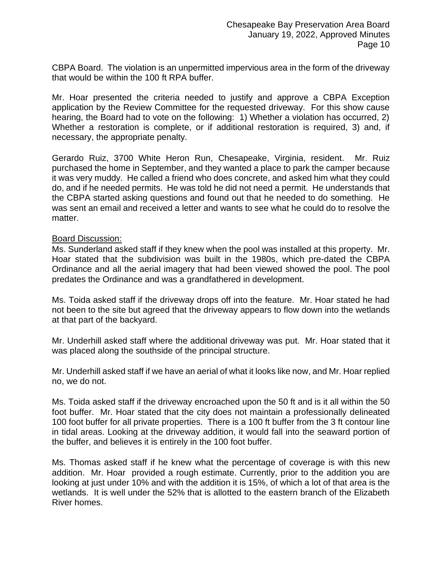CBPA Board. The violation is an unpermitted impervious area in the form of the driveway that would be within the 100 ft RPA buffer.

Mr. Hoar presented the criteria needed to justify and approve a CBPA Exception application by the Review Committee for the requested driveway. For this show cause hearing, the Board had to vote on the following: 1) Whether a violation has occurred, 2) Whether a restoration is complete, or if additional restoration is required, 3) and, if necessary, the appropriate penalty.

Gerardo Ruiz, 3700 White Heron Run, Chesapeake, Virginia, resident. Mr. Ruiz purchased the home in September, and they wanted a place to park the camper because it was very muddy. He called a friend who does concrete, and asked him what they could do, and if he needed permits. He was told he did not need a permit. He understands that the CBPA started asking questions and found out that he needed to do something. He was sent an email and received a letter and wants to see what he could do to resolve the matter.

#### Board Discussion:

Ms. Sunderland asked staff if they knew when the pool was installed at this property. Mr. Hoar stated that the subdivision was built in the 1980s, which pre-dated the CBPA Ordinance and all the aerial imagery that had been viewed showed the pool. The pool predates the Ordinance and was a grandfathered in development.

Ms. Toida asked staff if the driveway drops off into the feature. Mr. Hoar stated he had not been to the site but agreed that the driveway appears to flow down into the wetlands at that part of the backyard.

Mr. Underhill asked staff where the additional driveway was put. Mr. Hoar stated that it was placed along the southside of the principal structure.

Mr. Underhill asked staff if we have an aerial of what it looks like now, and Mr. Hoar replied no, we do not.

Ms. Toida asked staff if the driveway encroached upon the 50 ft and is it all within the 50 foot buffer. Mr. Hoar stated that the city does not maintain a professionally delineated 100 foot buffer for all private properties. There is a 100 ft buffer from the 3 ft contour line in tidal areas. Looking at the driveway addition, it would fall into the seaward portion of the buffer, and believes it is entirely in the 100 foot buffer.

Ms. Thomas asked staff if he knew what the percentage of coverage is with this new addition. Mr. Hoar provided a rough estimate. Currently, prior to the addition you are looking at just under 10% and with the addition it is 15%, of which a lot of that area is the wetlands. It is well under the 52% that is allotted to the eastern branch of the Elizabeth River homes.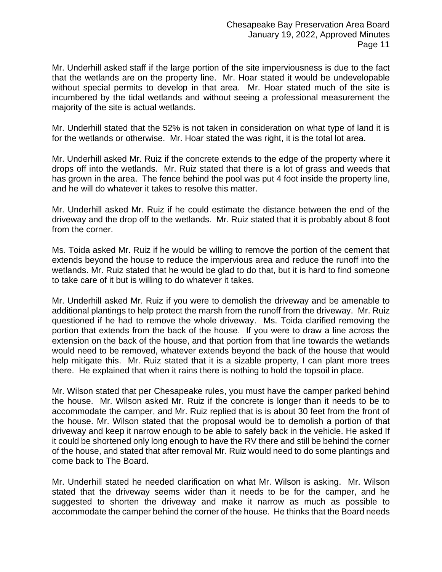Mr. Underhill asked staff if the large portion of the site imperviousness is due to the fact that the wetlands are on the property line. Mr. Hoar stated it would be undevelopable without special permits to develop in that area. Mr. Hoar stated much of the site is incumbered by the tidal wetlands and without seeing a professional measurement the majority of the site is actual wetlands.

Mr. Underhill stated that the 52% is not taken in consideration on what type of land it is for the wetlands or otherwise. Mr. Hoar stated the was right, it is the total lot area.

Mr. Underhill asked Mr. Ruiz if the concrete extends to the edge of the property where it drops off into the wetlands. Mr. Ruiz stated that there is a lot of grass and weeds that has grown in the area. The fence behind the pool was put 4 foot inside the property line, and he will do whatever it takes to resolve this matter.

Mr. Underhill asked Mr. Ruiz if he could estimate the distance between the end of the driveway and the drop off to the wetlands. Mr. Ruiz stated that it is probably about 8 foot from the corner.

Ms. Toida asked Mr. Ruiz if he would be willing to remove the portion of the cement that extends beyond the house to reduce the impervious area and reduce the runoff into the wetlands. Mr. Ruiz stated that he would be glad to do that, but it is hard to find someone to take care of it but is willing to do whatever it takes.

Mr. Underhill asked Mr. Ruiz if you were to demolish the driveway and be amenable to additional plantings to help protect the marsh from the runoff from the driveway. Mr. Ruiz questioned if he had to remove the whole driveway. Ms. Toida clarified removing the portion that extends from the back of the house. If you were to draw a line across the extension on the back of the house, and that portion from that line towards the wetlands would need to be removed, whatever extends beyond the back of the house that would help mitigate this. Mr. Ruiz stated that it is a sizable property, I can plant more trees there. He explained that when it rains there is nothing to hold the topsoil in place.

Mr. Wilson stated that per Chesapeake rules, you must have the camper parked behind the house. Mr. Wilson asked Mr. Ruiz if the concrete is longer than it needs to be to accommodate the camper, and Mr. Ruiz replied that is is about 30 feet from the front of the house. Mr. Wilson stated that the proposal would be to demolish a portion of that driveway and keep it narrow enough to be able to safely back in the vehicle. He asked If it could be shortened only long enough to have the RV there and still be behind the corner of the house, and stated that after removal Mr. Ruiz would need to do some plantings and come back to The Board.

Mr. Underhill stated he needed clarification on what Mr. Wilson is asking. Mr. Wilson stated that the driveway seems wider than it needs to be for the camper, and he suggested to shorten the driveway and make it narrow as much as possible to accommodate the camper behind the corner of the house. He thinks that the Board needs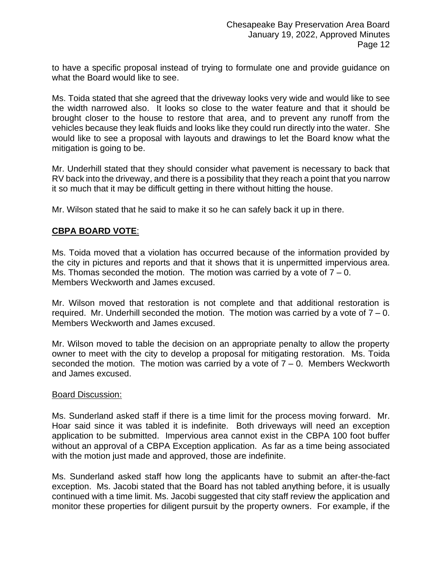to have a specific proposal instead of trying to formulate one and provide guidance on what the Board would like to see.

Ms. Toida stated that she agreed that the driveway looks very wide and would like to see the width narrowed also. It looks so close to the water feature and that it should be brought closer to the house to restore that area, and to prevent any runoff from the vehicles because they leak fluids and looks like they could run directly into the water. She would like to see a proposal with layouts and drawings to let the Board know what the mitigation is going to be.

Mr. Underhill stated that they should consider what pavement is necessary to back that RV back into the driveway, and there is a possibility that they reach a point that you narrow it so much that it may be difficult getting in there without hitting the house.

Mr. Wilson stated that he said to make it so he can safely back it up in there.

## **CBPA BOARD VOTE**:

Ms. Toida moved that a violation has occurred because of the information provided by the city in pictures and reports and that it shows that it is unpermitted impervious area. Ms. Thomas seconded the motion. The motion was carried by a vote of  $7 - 0$ . Members Weckworth and James excused.

Mr. Wilson moved that restoration is not complete and that additional restoration is required. Mr. Underhill seconded the motion. The motion was carried by a vote of  $7 - 0$ . Members Weckworth and James excused.

Mr. Wilson moved to table the decision on an appropriate penalty to allow the property owner to meet with the city to develop a proposal for mitigating restoration. Ms. Toida seconded the motion. The motion was carried by a vote of  $7 - 0$ . Members Weckworth and James excused.

#### Board Discussion:

Ms. Sunderland asked staff if there is a time limit for the process moving forward. Mr. Hoar said since it was tabled it is indefinite. Both driveways will need an exception application to be submitted. Impervious area cannot exist in the CBPA 100 foot buffer without an approval of a CBPA Exception application. As far as a time being associated with the motion just made and approved, those are indefinite.

Ms. Sunderland asked staff how long the applicants have to submit an after-the-fact exception. Ms. Jacobi stated that the Board has not tabled anything before, it is usually continued with a time limit. Ms. Jacobi suggested that city staff review the application and monitor these properties for diligent pursuit by the property owners. For example, if the